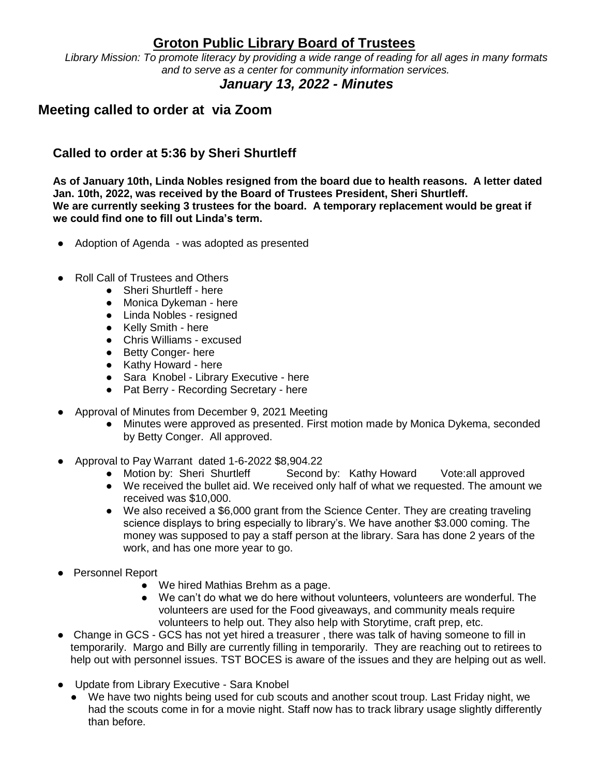## **Groton Public Library Board of Trustees**

*Library Mission: To promote literacy by providing a wide range of reading for all ages in many formats and to serve as a center for community information services.*

## *January 13, 2022 - Minutes*

## **Meeting called to order at via Zoom**

## **Called to order at 5:36 by Sheri Shurtleff**

**As of January 10th, Linda Nobles resigned from the board due to health reasons. A letter dated Jan. 10th, 2022, was received by the Board of Trustees President, Sheri Shurtleff. We are currently seeking 3 trustees for the board. A temporary replacement would be great if we could find one to fill out Linda's term.**

- Adoption of Agenda was adopted as presented
- Roll Call of Trustees and Others
	- Sheri Shurtleff here
	- Monica Dykeman here
	- Linda Nobles resigned
	- Kelly Smith here
	- Chris Williams excused
	- Betty Conger- here
	- Kathy Howard here
	- Sara Knobel Library Executive here
	- Pat Berry Recording Secretary here
- Approval of Minutes from December 9, 2021 Meeting
	- Minutes were approved as presented. First motion made by Monica Dykema, seconded by Betty Conger. All approved.
- Approval to Pay Warrant dated 1-6-2022 \$8,904.22
	- Motion by: Sheri Shurtleff Second by: Kathy Howard Vote:all approved
	- We received the bullet aid. We received only half of what we requested. The amount we received was \$10,000.
	- We also received a \$6,000 grant from the Science Center. They are creating traveling science displays to bring especially to library's. We have another \$3.000 coming. The money was supposed to pay a staff person at the library. Sara has done 2 years of the work, and has one more year to go.
- Personnel Report
	- We hired Mathias Brehm as a page.
	- We can't do what we do here without volunteers, volunteers are wonderful. The volunteers are used for the Food giveaways, and community meals require volunteers to help out. They also help with Storytime, craft prep, etc.
- Change in GCS GCS has not yet hired a treasurer, there was talk of having someone to fill in temporarily. Margo and Billy are currently filling in temporarily. They are reaching out to retirees to help out with personnel issues. TST BOCES is aware of the issues and they are helping out as well.
- Update from Library Executive Sara Knobel
	- We have two nights being used for cub scouts and another scout troup. Last Friday night, we had the scouts come in for a movie night. Staff now has to track library usage slightly differently than before.